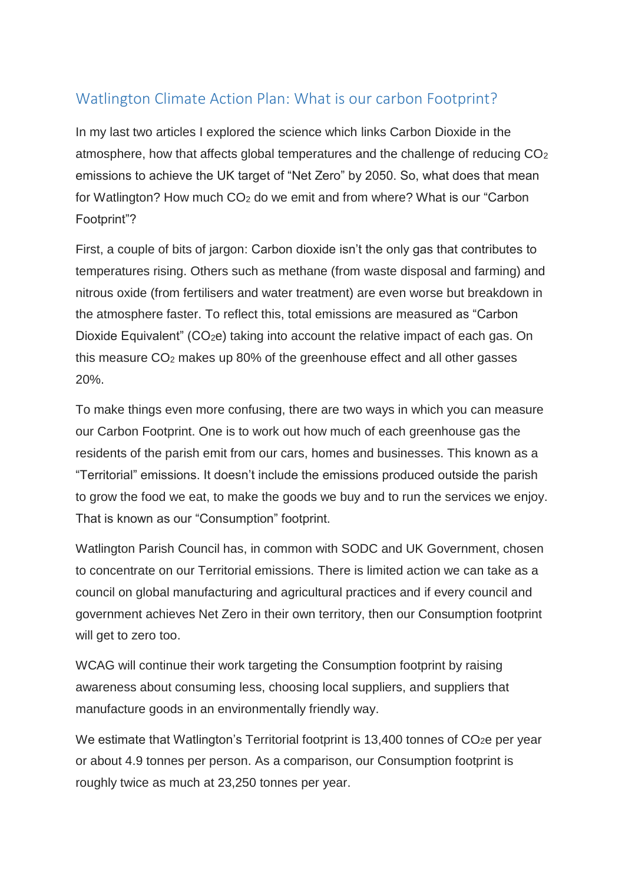## Watlington Climate Action Plan: What is our carbon Footprint?

In my last two articles I explored the science which links Carbon Dioxide in the atmosphere, how that affects global temperatures and the challenge of reducing CO<sup>2</sup> emissions to achieve the UK target of "Net Zero" by 2050. So, what does that mean for Watlington? How much CO<sup>2</sup> do we emit and from where? What is our "Carbon Footprint"?

First, a couple of bits of jargon: Carbon dioxide isn't the only gas that contributes to temperatures rising. Others such as methane (from waste disposal and farming) and nitrous oxide (from fertilisers and water treatment) are even worse but breakdown in the atmosphere faster. To reflect this, total emissions are measured as "Carbon Dioxide Equivalent" ( $CO<sub>2</sub>e$ ) taking into account the relative impact of each gas. On this measure CO<sup>2</sup> makes up 80% of the greenhouse effect and all other gasses 20%.

To make things even more confusing, there are two ways in which you can measure our Carbon Footprint. One is to work out how much of each greenhouse gas the residents of the parish emit from our cars, homes and businesses. This known as a "Territorial" emissions. It doesn't include the emissions produced outside the parish to grow the food we eat, to make the goods we buy and to run the services we enjoy. That is known as our "Consumption" footprint.

Watlington Parish Council has, in common with SODC and UK Government, chosen to concentrate on our Territorial emissions. There is limited action we can take as a council on global manufacturing and agricultural practices and if every council and government achieves Net Zero in their own territory, then our Consumption footprint will get to zero too.

WCAG will continue their work targeting the Consumption footprint by raising awareness about consuming less, choosing local suppliers, and suppliers that manufacture goods in an environmentally friendly way.

We estimate that Watlington's Territorial footprint is 13,400 tonnes of CO<sub>2</sub>e per year or about 4.9 tonnes per person. As a comparison, our Consumption footprint is roughly twice as much at 23,250 tonnes per year.